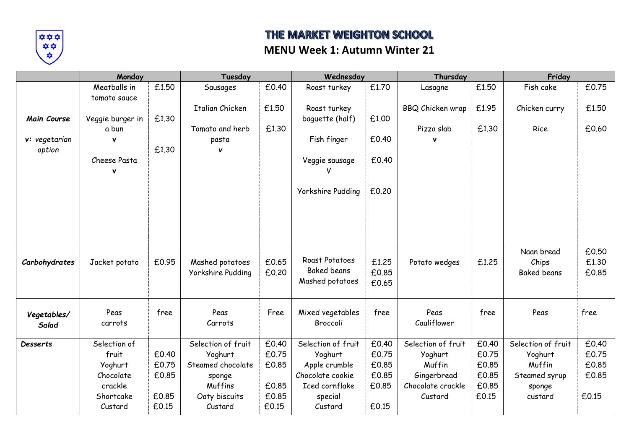

# THE MARKET WEIGHTON SCHOOL

#### **MENU Week 1: Autumn Winter 21**

|                      | Monday           |       | Tuesday            |       | Wednesday<br>Thursday |       |                    |       | Friday             |       |
|----------------------|------------------|-------|--------------------|-------|-----------------------|-------|--------------------|-------|--------------------|-------|
|                      | Meatballs in     | £1.50 | Sausages           | £0.40 | Roast turkey          | £1.70 | Lasagne            | £1.50 | Fish cake          | £0.75 |
|                      | tomato sauce     |       |                    |       |                       |       |                    |       |                    |       |
|                      |                  |       | Italian Chicken    | £1.50 | Roast turkey          |       | BBQ Chicken wrap   | £1.95 | Chicken curry      | £1.50 |
| Main Course          | Veggie burger in | £1.30 |                    |       | baguette (half)       | £1.00 |                    |       |                    |       |
|                      | a bun            |       | Tomato and herb    | £1.30 |                       |       | Pizza slab         | £1.30 | Rice               | £0.60 |
| v: vegetarian        | $\mathbf v$      |       | pasta              |       | Fish finger           | £0.40 |                    |       |                    |       |
| option               |                  | £1.30 | v                  |       |                       |       |                    |       |                    |       |
|                      | Cheese Pasta     |       |                    |       | Veggie sausage        | £0.40 |                    |       |                    |       |
|                      | v                |       |                    |       |                       |       |                    |       |                    |       |
|                      |                  |       |                    |       |                       |       |                    |       |                    |       |
|                      |                  |       |                    |       | Yorkshire Pudding     | £0.20 |                    |       |                    |       |
|                      |                  |       |                    |       |                       |       |                    |       |                    |       |
|                      |                  |       |                    |       |                       |       |                    |       |                    |       |
|                      |                  |       |                    |       |                       |       |                    |       |                    |       |
|                      |                  |       |                    |       |                       |       |                    |       |                    |       |
|                      |                  |       |                    |       |                       |       |                    |       | Naan bread         | £0.50 |
| Carbohydrates        | Jacket potato    | £0.95 | Mashed potatoes    | £0.65 | Roast Potatoes        | £1.25 | Potato wedges      | £1.25 | Chips              | £1.30 |
|                      |                  |       | Yorkshire Pudding  | £0.20 | <b>Baked beans</b>    | £0.85 |                    |       | <b>Baked beans</b> | £0.85 |
|                      |                  |       |                    |       | Mashed potatoes       | £0.65 |                    |       |                    |       |
|                      |                  |       |                    |       |                       |       |                    |       |                    |       |
|                      | Peas             | free  | Peas               | Free  | Mixed vegetables      | free  | Peas               | free  | Peas               | free  |
| Vegetables/<br>Salad | carrots          |       | Carrots            |       | Broccoli              |       | Cauliflower        |       |                    |       |
|                      |                  |       |                    |       |                       |       |                    |       |                    |       |
| <b>Desserts</b>      | Selection of     |       | Selection of fruit | £0.40 | Selection of fruit    | £0.40 | Selection of fruit | £0.40 | Selection of fruit | £0.40 |
|                      | fruit            | £0.40 | Yoghurt            | £0.75 | Yoghurt               | £0.75 | Yoghurt            | £0.75 | Yoghurt            | £0.75 |
|                      | Yoghurt          | £0.75 | Steamed chocolate  | £0.85 | Apple crumble         | £0.85 | Muffin             | £0.85 | Muffin             | £0.85 |
|                      | Chocolate        | £0.85 | sponge             |       | Chocolate cookie      | £0.85 | Gingerbread        | £0.85 | Steamed syrup      | £0.85 |
|                      | crackle          |       | Muffins            | £0.85 | Iced cornflake        | £0.85 | Chocolate crackle  | £0.85 | sponge             |       |
|                      | Shortcake        | £0.85 | Oaty biscuits      | £0.85 | special               |       | Custard            | £0.15 | custard            | £0.15 |
|                      | Custard          | £0.15 | Custard            | £0.15 | Custard               | £0.15 |                    |       |                    |       |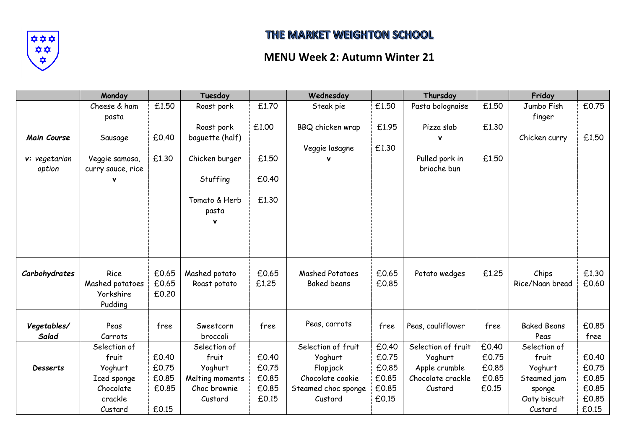

# THE MARKET WEIGHTON SCHOOL

### **MENU Week 2: Autumn Winter 21**

|                    | Monday                       |       | Tuesday         |       | Wednesday              |       | Thursday           |       | Friday                   |       |
|--------------------|------------------------------|-------|-----------------|-------|------------------------|-------|--------------------|-------|--------------------------|-------|
|                    | Cheese & ham                 | £1.50 | Roast pork      | £1.70 | Steak pie              | £1.50 | Pasta bolognaise   | £1.50 | Jumbo Fish               | £0.75 |
|                    | pasta                        |       |                 |       |                        |       |                    |       | finger                   |       |
|                    |                              |       | Roast pork      | £1.00 | BBQ chicken wrap       | £1.95 | Pizza slab         | £1.30 |                          |       |
| <b>Main Course</b> | Sausage                      | £0.40 | baguette (half) |       |                        |       |                    |       | Chicken curry            | £1.50 |
|                    |                              |       |                 |       | Veggie lasagne         | £1.30 |                    |       |                          |       |
| v: vegetarian      | Veggie samosa,               | £1.30 | Chicken burger  | £1.50 |                        |       | Pulled pork in     | £1.50 |                          |       |
| option             | curry sauce, rice            |       |                 |       |                        |       | brioche bun        |       |                          |       |
|                    |                              |       | Stuffing        | £0.40 |                        |       |                    |       |                          |       |
|                    |                              |       |                 |       |                        |       |                    |       |                          |       |
|                    |                              |       | Tomato & Herb   | £1.30 |                        |       |                    |       |                          |       |
|                    |                              |       | pasta           |       |                        |       |                    |       |                          |       |
|                    |                              |       | ν               |       |                        |       |                    |       |                          |       |
|                    |                              |       |                 |       |                        |       |                    |       |                          |       |
|                    |                              |       |                 |       |                        |       |                    |       |                          |       |
|                    |                              |       |                 |       |                        |       |                    |       |                          |       |
|                    | Rice                         | £0.65 | Mashed potato   | £0.65 | <b>Mashed Potatoes</b> | £0.65 |                    | £1.25 |                          | £1.30 |
| Carbohydrates      |                              | £0.65 |                 | £1.25 | <b>Baked beans</b>     | £0.85 | Potato wedges      |       | Chips<br>Rice/Naan bread | £0.60 |
|                    | Mashed potatoes<br>Yorkshire | £0.20 | Roast potato    |       |                        |       |                    |       |                          |       |
|                    | Pudding                      |       |                 |       |                        |       |                    |       |                          |       |
|                    |                              |       |                 |       |                        |       |                    |       |                          |       |
| Vegetables/        | Peas                         | free  | Sweetcorn       | free  | Peas, carrots          | free  | Peas, cauliflower  | free  | <b>Baked Beans</b>       | £0.85 |
| Salad              | Carrots                      |       | broccoli        |       |                        |       |                    |       | Peas                     | free  |
|                    | Selection of                 |       | Selection of    |       | Selection of fruit     | £0.40 | Selection of fruit | £0.40 | Selection of             |       |
|                    | fruit                        | £0.40 | fruit           | £0.40 | Yoghurt                | £0.75 | Yoghurt            | £0.75 | fruit                    | £0.40 |
| <b>Desserts</b>    | Yoghurt                      | £0.75 | Yoghurt         | £0.75 | Flapjack               | £0.85 | Apple crumble      | £0.85 | Yoghurt                  | £0.75 |
|                    | Iced sponge                  | £0.85 | Melting moments | £0.85 | Chocolate cookie       | £0.85 | Chocolate crackle  | £0.85 | Steamed jam              | £0.85 |
|                    | Chocolate                    | £0.85 | Choc brownie    | £0.85 | Steamed choc sponge    | £0.85 | Custard            | £0.15 | sponge                   | £0.85 |
|                    | crackle                      |       | Custard         | £0.15 | Custard                | £0.15 |                    |       | Oaty biscuit             | £0.85 |
|                    | Custard                      | £0.15 |                 |       |                        |       |                    |       | Custard                  | £0.15 |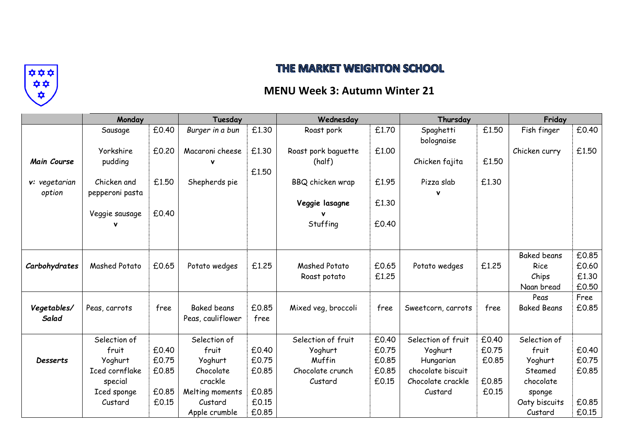

### THE MARKET WEIGHTON SCHOOL

#### **MENU Week 3: Autumn Winter 21**

|                         | Monday                         |       | Tuesday            |       | Wednesday           |       | Thursday                |       | Friday             |       |
|-------------------------|--------------------------------|-------|--------------------|-------|---------------------|-------|-------------------------|-------|--------------------|-------|
|                         | Sausage                        | £0.40 | Burger in a bun    | £1.30 | Roast pork          | £1.70 | Spaghetti<br>bolognaise | £1.50 | Fish finger        | £0.40 |
|                         | Yorkshire                      | £0.20 | Macaroni cheese    | £1.30 | Roast pork baquette | £1.00 |                         |       | Chicken curry      | £1.50 |
| Main Course             | pudding                        |       |                    | £1.50 | (half)              |       | Chicken fajita          | £1.50 |                    |       |
| v: vegetarian<br>option | Chicken and<br>pepperoni pasta | £1.50 | Shepherds pie      |       | BBQ chicken wrap    | £1.95 | Pizza slab              | £1.30 |                    |       |
|                         |                                |       |                    |       | Veggie lasagne      | £1.30 |                         |       |                    |       |
|                         | Veggie sausage                 | £0.40 |                    |       |                     |       |                         |       |                    |       |
|                         | ν                              |       |                    |       | Stuffing            | £0.40 |                         |       |                    |       |
|                         |                                |       |                    |       |                     |       |                         |       |                    |       |
|                         |                                |       |                    |       |                     |       |                         |       | <b>Baked beans</b> | £0.85 |
| Carbohydrates           | Mashed Potato                  | £0.65 | Potato wedges      | £1.25 | Mashed Potato       | £0.65 | Potato wedges           | £1.25 | Rice               | £0.60 |
|                         |                                |       |                    |       | Roast potato        | £1.25 |                         |       | Chips              | £1.30 |
|                         |                                |       |                    |       |                     |       |                         |       | Naan bread         | £0.50 |
|                         |                                |       |                    |       |                     |       |                         |       | Peas               | Free  |
| Vegetables/             | Peas, carrots                  | free  | <b>Baked beans</b> | £0.85 | Mixed veg, broccoli | free  | Sweetcorn, carrots      | free  | <b>Baked Beans</b> | £0.85 |
| Salad                   |                                |       | Peas, cauliflower  | free  |                     |       |                         |       |                    |       |
|                         | Selection of                   |       | Selection of       |       | Selection of fruit  | £0.40 | Selection of fruit      | £0.40 | Selection of       |       |
|                         | fruit                          | £0.40 | fruit              | £0.40 | Yoghurt             | £0.75 | Yoghurt                 | £0.75 | fruit              | £0.40 |
| <b>Desserts</b>         | Yoghurt                        | £0.75 | Yoghurt            | £0.75 | Muffin              | £0.85 | Hungarian               | £0.85 | Yoghurt            | £0.75 |
|                         | Iced cornflake                 | £0.85 | Chocolate          | £0.85 | Chocolate crunch    | £0.85 | chocolate biscuit       |       | Steamed            | £0.85 |
|                         | special                        |       | crackle            |       | Custard             | £0.15 | Chocolate crackle       | £0.85 | chocolate          |       |
|                         | Iced sponge                    | £0.85 | Melting moments    | £0.85 |                     |       | Custard                 | £0.15 | sponge             |       |
|                         | Custard                        | £0.15 | Custard            | £0.15 |                     |       |                         |       | Oaty biscuits      | £0.85 |
|                         |                                |       | Apple crumble      | £0.85 |                     |       |                         |       | Custard            | £0.15 |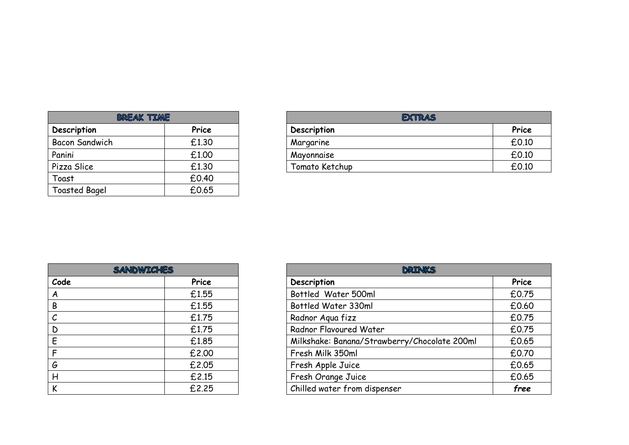| <b>BREAK TIME</b>     |       |  |  |  |  |
|-----------------------|-------|--|--|--|--|
| Description           | Price |  |  |  |  |
| <b>Bacon Sandwich</b> | £1.30 |  |  |  |  |
| Panini                | £1.00 |  |  |  |  |
| Pizza Slice           | £1.30 |  |  |  |  |
| Toast                 | £0.40 |  |  |  |  |
| <b>Toasted Bagel</b>  | £0.65 |  |  |  |  |

| <b>BREAK TIME</b> |       | <b>EXTRAS</b>  |       |
|-------------------|-------|----------------|-------|
| Description       | Price | Description    | Price |
| Bacon Sandwich    | £1.30 | Margarine      | £0.10 |
| Panini            | £1.00 | Mayonnaise     | £0.10 |
| Pizza Slice       | £1.30 | Tomato Ketchup | £0.10 |

| <b>SANDWICHES</b> |       |  |  |  |  |
|-------------------|-------|--|--|--|--|
| Code              | Price |  |  |  |  |
| Α                 | £1.55 |  |  |  |  |
| В                 | £1.55 |  |  |  |  |
| $\mathcal{C}_{0}$ | £1.75 |  |  |  |  |
| D                 | £1.75 |  |  |  |  |
| E                 | £1.85 |  |  |  |  |
| F                 | £2.00 |  |  |  |  |
| G                 | £2.05 |  |  |  |  |
| Н                 | £2.15 |  |  |  |  |
| K                 | £2.25 |  |  |  |  |

| <b>SANDWICHES</b> |       | DRINKS                                       |       |  |  |
|-------------------|-------|----------------------------------------------|-------|--|--|
| Code              | Price | Description                                  | Price |  |  |
| A                 | £1.55 | Bottled Water 500ml                          | £0.75 |  |  |
| B                 | £1.55 | Bottled Water 330ml                          | £0.60 |  |  |
| $\mathcal{C}$     | £1.75 | Radnor Agua fizz                             | £0.75 |  |  |
| D                 | £1.75 | Radnor Flavoured Water                       | £0.75 |  |  |
| E                 | £1.85 | Milkshake: Banana/Strawberry/Chocolate 200ml | £0.65 |  |  |
| F.                | £2.00 | Fresh Milk 350ml                             | £0.70 |  |  |
| G                 | £2.05 | Fresh Apple Juice                            | £0.65 |  |  |
| H                 | £2.15 | Fresh Orange Juice                           | £0.65 |  |  |
| K                 | £2.25 | Chilled water from dispenser                 | free  |  |  |